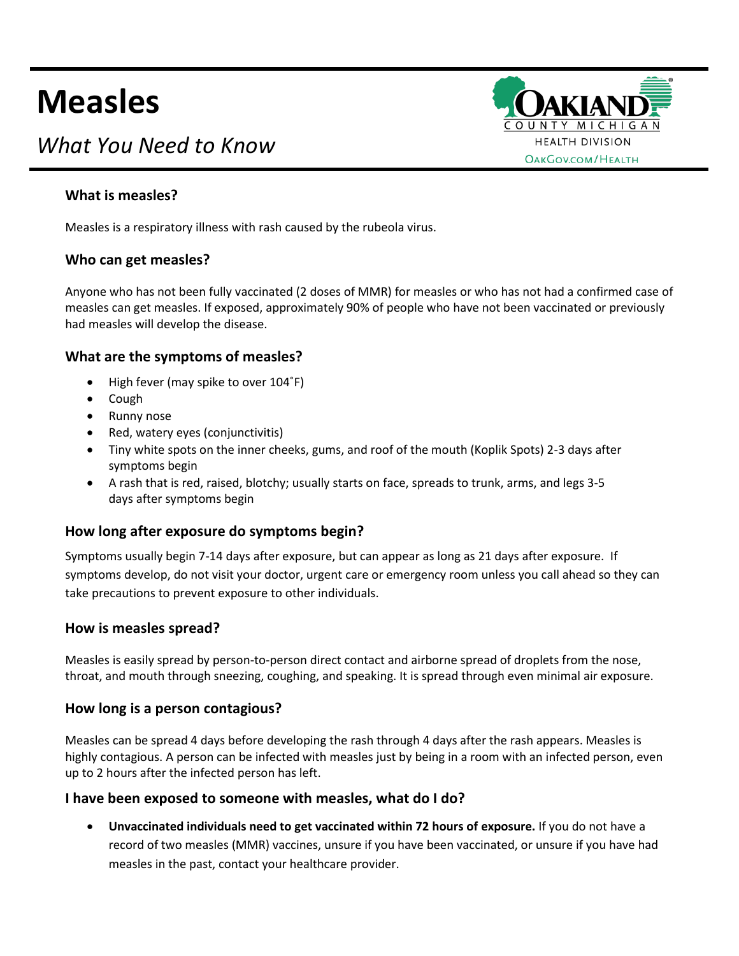# **Measles**

# *What You Need to Know*



# **What is measles?**

Measles is a respiratory illness with rash caused by the rubeola virus.

#### **Who can get measles?**

Anyone who has not been fully vaccinated (2 doses of MMR) for measles or who has not had a confirmed case of measles can get measles. If exposed, approximately 90% of people who have not been vaccinated or previously had measles will develop the disease.

#### **What are the symptoms of measles?**

- High fever (may spike to over 104˚F)
- Cough
- Runny nose
- Red, watery eyes (conjunctivitis)
- Tiny white spots on the inner cheeks, gums, and roof of the mouth (Koplik Spots) 2-3 days after symptoms begin
- A rash that is red, raised, blotchy; usually starts on face, spreads to trunk, arms, and legs 3-5 days after symptoms begin

# **How long after exposure do symptoms begin?**

Symptoms usually begin 7-14 days after exposure, but can appear as long as 21 days after exposure. If symptoms develop, do not visit your doctor, urgent care or emergency room unless you call ahead so they can take precautions to prevent exposure to other individuals.

#### **How is measles spread?**

Measles is easily spread by person-to-person direct contact and airborne spread of droplets from the nose, throat, and mouth through sneezing, coughing, and speaking. It is spread through even minimal air exposure.

#### **How long is a person contagious?**

Measles can be spread 4 days before developing the rash through 4 days after the rash appears. Measles is highly contagious. A person can be infected with measles just by being in a room with an infected person, even up to 2 hours after the infected person has left.

#### **I have been exposed to someone with measles, what do I do?**

• **Unvaccinated individuals need to get vaccinated within 72 hours of exposure.** If you do not have a record of two measles (MMR) vaccines, unsure if you have been vaccinated, or unsure if you have had measles in the past, contact your healthcare provider.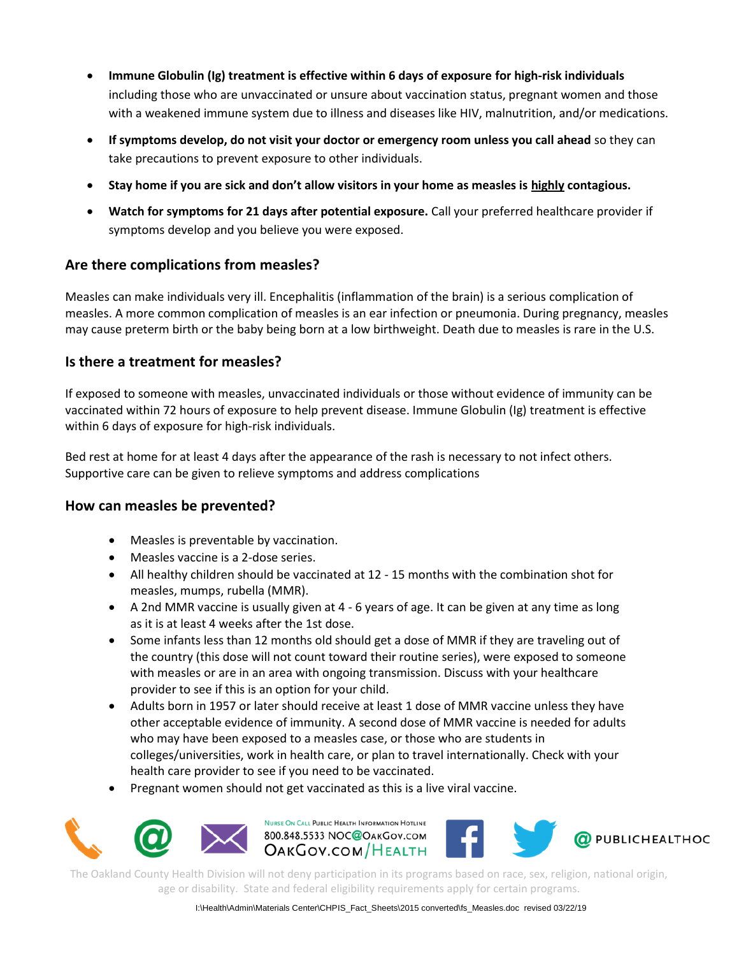- **Immune Globulin (Ig) treatment is effective within 6 days of exposure for high-risk individuals**  including those who are unvaccinated or unsure about vaccination status, pregnant women and those with a weakened immune system due to illness and diseases like HIV, malnutrition, and/or medications.
- **If symptoms develop, do not visit your doctor or emergency room unless you call ahead** so they can take precautions to prevent exposure to other individuals.
- **Stay home if you are sick and don't allow visitors in your home as measles is highly contagious.**
- **Watch for symptoms for 21 days after potential exposure.** Call your preferred healthcare provider if symptoms develop and you believe you were exposed.

#### **Are there complications from measles?**

Measles can make individuals very ill. Encephalitis (inflammation of the brain) is a serious complication of measles. A more common complication of measles is an ear infection or pneumonia. During pregnancy, measles may cause preterm birth or the baby being born at a low birthweight. Death due to measles is rare in the U.S.

#### **Is there a treatment for measles?**

If exposed to someone with measles, unvaccinated individuals or those without evidence of immunity can be vaccinated within 72 hours of exposure to help prevent disease. Immune Globulin (Ig) treatment is effective within 6 days of exposure for high-risk individuals.

Bed rest at home for at least 4 days after the appearance of the rash is necessary to not infect others. Supportive care can be given to relieve symptoms and address complications

# **How can measles be prevented?**

- Measles is preventable by vaccination.
- Measles vaccine is a 2-dose series.
- All healthy children should be vaccinated at 12 15 months with the combination shot for measles, mumps, rubella (MMR).
- A 2nd MMR vaccine is usually given at 4 6 years of age. It can be given at any time as long as it is at least 4 weeks after the 1st dose.
- Some infants less than 12 months old should get a dose of MMR if they are traveling out of the country (this dose will not count toward their routine series), were exposed to someone with measles or are in an area with ongoing transmission. Discuss with your healthcare provider to see if this is an option for your child.
- Adults born in 1957 or later should receive at least 1 dose of MMR vaccine unless they have other acceptable evidence of immunity. A second dose of MMR vaccine is needed for adults who may have been exposed to a measles case, or those who are students in colleges/universities, work in health care, or plan to travel internationally. Check with your health care provider to see if you need to be vaccinated.
- Pregnant women should not get vaccinated as this is a live viral vaccine.





The Oakland County Health Division will not deny participation in its programs based on race, sex, religion, national origin, age or disability. State and federal eligibility requirements apply for certain programs.

I:\Health\Admin\Materials Center\CHPIS\_Fact\_Sheets\2015 converted\fs\_Measles.doc revised 03/22/19